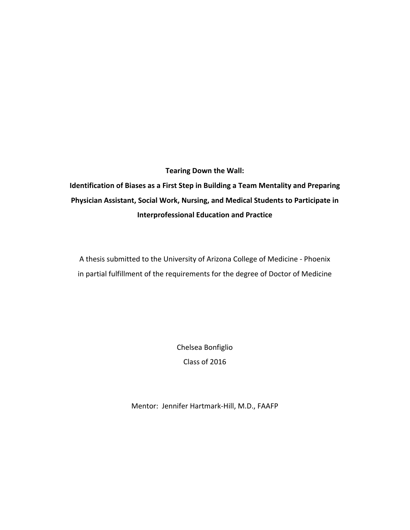# **Tearing Down the Wall:**

**Identification of Biases as a First Step in Building a Team Mentality and Preparing Physician Assistant, Social Work, Nursing, and Medical Students to Participate in Interprofessional Education and Practice**

A thesis submitted to the University of Arizona College of Medicine ‐ Phoenix in partial fulfillment of the requirements for the degree of Doctor of Medicine

> Chelsea Bonfiglio Class of 2016

Mentor: Jennifer Hartmark‐Hill, M.D., FAAFP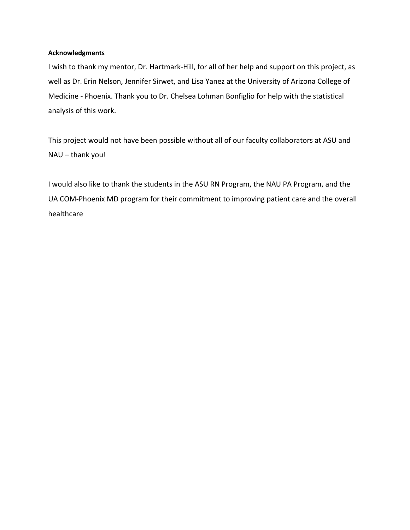### **Acknowledgments**

I wish to thank my mentor, Dr. Hartmark‐Hill, for all of her help and support on this project, as well as Dr. Erin Nelson, Jennifer Sirwet, and Lisa Yanez at the University of Arizona College of Medicine ‐ Phoenix. Thank you to Dr. Chelsea Lohman Bonfiglio for help with the statistical analysis of this work.

This project would not have been possible without all of our faculty collaborators at ASU and NAU – thank you!

I would also like to thank the students in the ASU RN Program, the NAU PA Program, and the UA COM‐Phoenix MD program for their commitment to improving patient care and the overall healthcare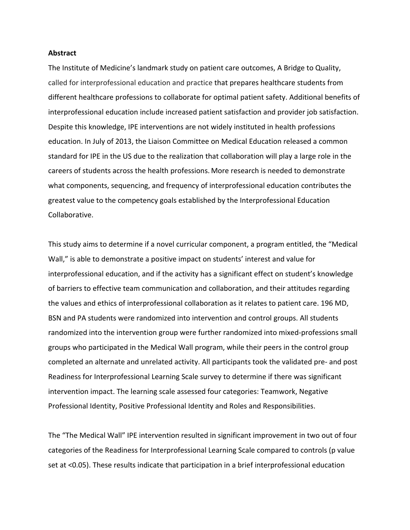#### **Abstract**

The Institute of Medicine's landmark study on patient care outcomes, A Bridge to Quality, called for interprofessional education and practice that prepares healthcare students from different healthcare professions to collaborate for optimal patient safety. Additional benefits of interprofessional education include increased patient satisfaction and provider job satisfaction. Despite this knowledge, IPE interventions are not widely instituted in health professions education. In July of 2013, the Liaison Committee on Medical Education released a common standard for IPE in the US due to the realization that collaboration will play a large role in the careers of students across the health professions. More research is needed to demonstrate what components, sequencing, and frequency of interprofessional education contributes the greatest value to the competency goals established by the Interprofessional Education Collaborative.

This study aims to determine if a novel curricular component, a program entitled, the "Medical Wall," is able to demonstrate a positive impact on students' interest and value for interprofessional education, and if the activity has a significant effect on student's knowledge of barriers to effective team communication and collaboration, and their attitudes regarding the values and ethics of interprofessional collaboration as it relates to patient care. 196 MD, BSN and PA students were randomized into intervention and control groups. All students randomized into the intervention group were further randomized into mixed‐professions small groups who participated in the Medical Wall program, while their peers in the control group completed an alternate and unrelated activity. All participants took the validated pre‐ and post Readiness for Interprofessional Learning Scale survey to determine if there was significant intervention impact. The learning scale assessed four categories: Teamwork, Negative Professional Identity, Positive Professional Identity and Roles and Responsibilities.

The "The Medical Wall" IPE intervention resulted in significant improvement in two out of four categories of the Readiness for Interprofessional Learning Scale compared to controls (p value set at <0.05). These results indicate that participation in a brief interprofessional education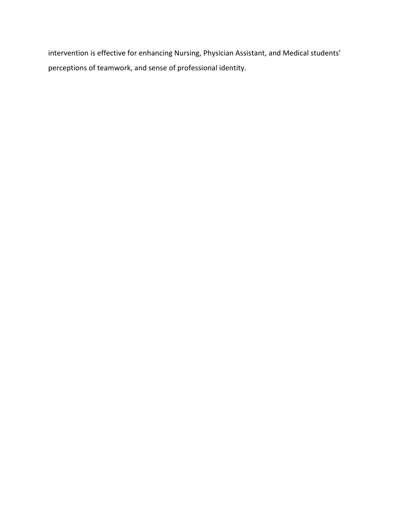intervention is effective for enhancing Nursing, Physician Assistant, and Medical students' perceptions of teamwork, and sense of professional identity.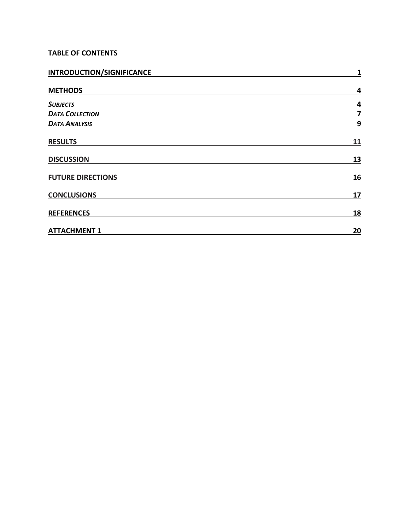# **TABLE OF CONTENTS**

| <b>INTRODUCTION/SIGNIFICANCE</b> | $\mathbf{1}$ |
|----------------------------------|--------------|
| <b>METHODS</b>                   | 4            |
| <b>SUBJECTS</b>                  | 4            |
| <b>DATA COLLECTION</b>           | 7            |
| <b>DATA ANALYSIS</b>             | 9            |
| <b>RESULTS</b>                   | <u>11</u>    |
| <b>DISCUSSION</b>                | <u>13</u>    |
| <b>FUTURE DIRECTIONS</b>         | <u>16</u>    |
| <b>CONCLUSIONS</b>               | <u>17</u>    |
| <b>REFERENCES</b>                | <u>18</u>    |
| <b>ATTACHMENT 1</b>              | 20           |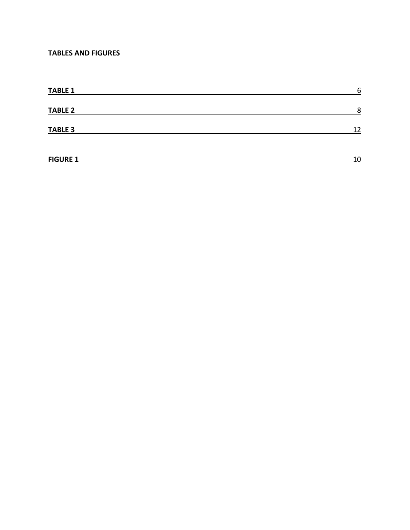# **TABLES AND FIGURES**

| <b>TABLE 1</b>  | 6  |
|-----------------|----|
| <b>TABLE 2</b>  | 8  |
| <b>TABLE 3</b>  | 12 |
| <b>FIGURE 1</b> | 10 |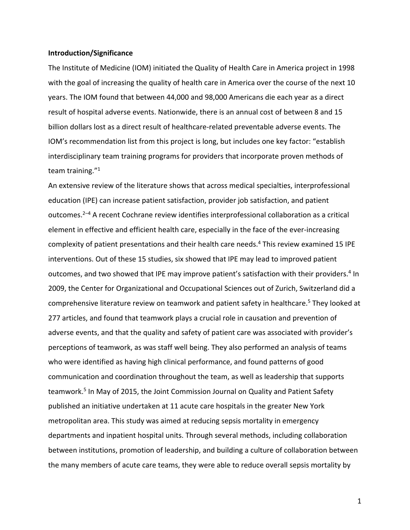#### **Introduction/Significance**

The Institute of Medicine (IOM) initiated the Quality of Health Care in America project in 1998 with the goal of increasing the quality of health care in America over the course of the next 10 years. The IOM found that between 44,000 and 98,000 Americans die each year as a direct result of hospital adverse events. Nationwide, there is an annual cost of between 8 and 15 billion dollars lost as a direct result of healthcare‐related preventable adverse events. The IOM's recommendation list from this project is long, but includes one key factor: "establish interdisciplinary team training programs for providers that incorporate proven methods of team training."1

An extensive review of the literature shows that across medical specialties, interprofessional education (IPE) can increase patient satisfaction, provider job satisfaction, and patient outcomes.2–4 A recent Cochrane review identifies interprofessional collaboration as a critical element in effective and efficient health care, especially in the face of the ever‐increasing complexity of patient presentations and their health care needs.<sup>4</sup> This review examined 15 IPE interventions. Out of these 15 studies, six showed that IPE may lead to improved patient outcomes, and two showed that IPE may improve patient's satisfaction with their providers.<sup>4</sup> In 2009, the Center for Organizational and Occupational Sciences out of Zurich, Switzerland did a comprehensive literature review on teamwork and patient safety in healthcare.<sup>5</sup> They looked at 277 articles, and found that teamwork plays a crucial role in causation and prevention of adverse events, and that the quality and safety of patient care was associated with provider's perceptions of teamwork, as was staff well being. They also performed an analysis of teams who were identified as having high clinical performance, and found patterns of good communication and coordination throughout the team, as well as leadership that supports teamwork.<sup>5</sup> In May of 2015, the Joint Commission Journal on Quality and Patient Safety published an initiative undertaken at 11 acute care hospitals in the greater New York metropolitan area. This study was aimed at reducing sepsis mortality in emergency departments and inpatient hospital units. Through several methods, including collaboration between institutions, promotion of leadership, and building a culture of collaboration between the many members of acute care teams, they were able to reduce overall sepsis mortality by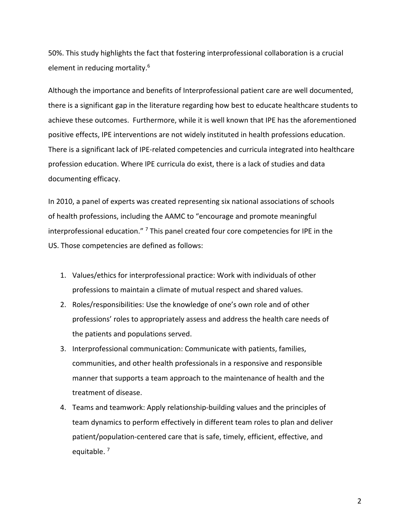50%. This study highlights the fact that fostering interprofessional collaboration is a crucial element in reducing mortality.6

Although the importance and benefits of Interprofessional patient care are well documented, there is a significant gap in the literature regarding how best to educate healthcare students to achieve these outcomes. Furthermore, while it is well known that IPE has the aforementioned positive effects, IPE interventions are not widely instituted in health professions education. There is a significant lack of IPE‐related competencies and curricula integrated into healthcare profession education. Where IPE curricula do exist, there is a lack of studies and data documenting efficacy.

In 2010, a panel of experts was created representing six national associations of schools of health professions, including the AAMC to "encourage and promote meaningful interprofessional education." <sup>7</sup> This panel created four core competencies for IPE in the US. Those competencies are defined as follows:

- 1. Values/ethics for interprofessional practice: Work with individuals of other professions to maintain a climate of mutual respect and shared values.
- 2. Roles/responsibilities: Use the knowledge of one's own role and of other professions' roles to appropriately assess and address the health care needs of the patients and populations served.
- 3. Interprofessional communication: Communicate with patients, families, communities, and other health professionals in a responsive and responsible manner that supports a team approach to the maintenance of health and the treatment of disease.
- 4. Teams and teamwork: Apply relationship-building values and the principles of team dynamics to perform effectively in different team roles to plan and deliver patient/population‐centered care that is safe, timely, efficient, effective, and equitable.<sup>7</sup>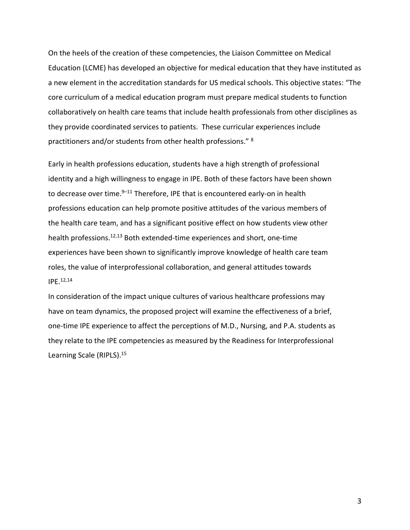On the heels of the creation of these competencies, the Liaison Committee on Medical Education (LCME) has developed an objective for medical education that they have instituted as a new element in the accreditation standards for US medical schools. This objective states: "The core curriculum of a medical education program must prepare medical students to function collaboratively on health care teams that include health professionals from other disciplines as they provide coordinated services to patients. These curricular experiences include practitioners and/or students from other health professions." <sup>8</sup>

Early in health professions education, students have a high strength of professional identity and a high willingness to engage in IPE. Both of these factors have been shown to decrease over time. $9-11$  Therefore, IPE that is encountered early-on in health professions education can help promote positive attitudes of the various members of the health care team, and has a significant positive effect on how students view other health professions.<sup>12,13</sup> Both extended-time experiences and short, one-time experiences have been shown to significantly improve knowledge of health care team roles, the value of interprofessional collaboration, and general attitudes towards IPE.12,14

In consideration of the impact unique cultures of various healthcare professions may have on team dynamics, the proposed project will examine the effectiveness of a brief, one‐time IPE experience to affect the perceptions of M.D., Nursing, and P.A. students as they relate to the IPE competencies as measured by the Readiness for Interprofessional Learning Scale (RIPLS).15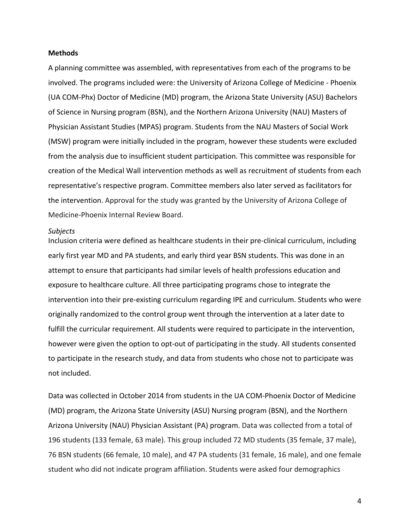#### **Methods**

A planning committee was assembled, with representatives from each of the programs to be involved. The programs included were: the University of Arizona College of Medicine ‐ Phoenix (UA COM‐Phx) Doctor of Medicine (MD) program, the Arizona State University (ASU) Bachelors of Science in Nursing program (BSN), and the Northern Arizona University (NAU) Masters of Physician Assistant Studies (MPAS) program. Students from the NAU Masters of Social Work (MSW) program were initially included in the program, however these students were excluded from the analysis due to insufficient student participation. This committee was responsible for creation of the Medical Wall intervention methods as well as recruitment of students from each representative's respective program. Committee members also later served as facilitators for the intervention. Approval for the study was granted by the University of Arizona College of Medicine‐Phoenix Internal Review Board.

#### *Subjects*

Inclusion criteria were defined as healthcare students in their pre‐clinical curriculum, including early first year MD and PA students, and early third year BSN students. This was done in an attempt to ensure that participants had similar levels of health professions education and exposure to healthcare culture. All three participating programs chose to integrate the intervention into their pre‐existing curriculum regarding IPE and curriculum. Students who were originally randomized to the control group went through the intervention at a later date to fulfill the curricular requirement. All students were required to participate in the intervention, however were given the option to opt-out of participating in the study. All students consented to participate in the research study, and data from students who chose not to participate was not included.

Data was collected in October 2014 from students in the UA COM‐Phoenix Doctor of Medicine (MD) program, the Arizona State University (ASU) Nursing program (BSN), and the Northern Arizona University (NAU) Physician Assistant (PA) program. Data was collected from a total of 196 students (133 female, 63 male). This group included 72 MD students (35 female, 37 male), 76 BSN students (66 female, 10 male), and 47 PA students (31 female, 16 male), and one female student who did not indicate program affiliation. Students were asked four demographics

4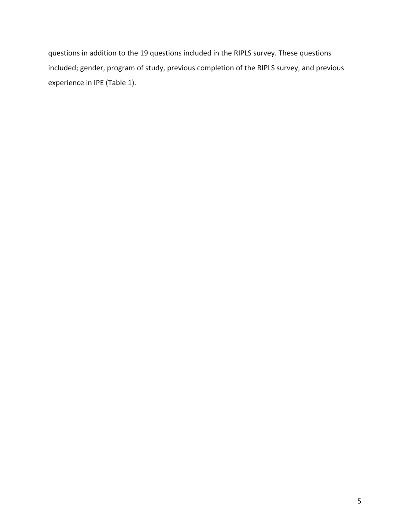questions in addition to the 19 questions included in the RIPLS survey. These questions included; gender, program of study, previous completion of the RIPLS survey, and previous experience in IPE (Table 1).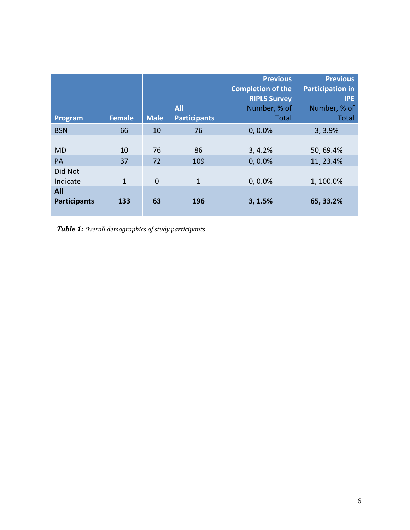| Program                    | <b>Female</b> | <b>Male</b> | <b>All</b><br><b>Participants</b> | <b>Previous</b><br><b>Completion of the</b><br><b>RIPLS Survey</b><br>Number, % of<br><b>Total</b> | <b>Previous</b><br><b>Participation in</b><br><b>IPE</b><br>Number, % of<br><b>Total</b> |
|----------------------------|---------------|-------------|-----------------------------------|----------------------------------------------------------------------------------------------------|------------------------------------------------------------------------------------------|
| <b>BSN</b>                 | 66            | 10          | 76                                | $0, 0.0\%$                                                                                         | 3, 3.9%                                                                                  |
| <b>MD</b><br>PA            | 10<br>37      | 76<br>72    | 86<br>109                         | 3, 4.2%<br>$0, 0.0\%$                                                                              | 50, 69.4%<br>11, 23.4%                                                                   |
| Did Not<br>Indicate        | $\mathbf{1}$  | $\mathbf 0$ | $\mathbf{1}$                      | $0, 0.0\%$                                                                                         | 1, 100.0%                                                                                |
| All<br><b>Participants</b> | 133           | 63          | 196                               | 3, 1.5%                                                                                            | 65, 33.2%                                                                                |

*Table 1: Overall demographics of study participants*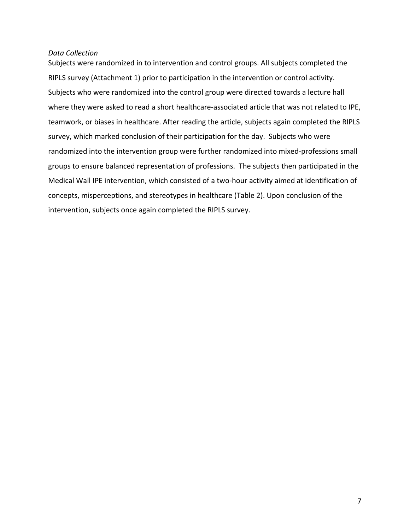## *Data Collection*

Subjects were randomized in to intervention and control groups. All subjects completed the RIPLS survey (Attachment 1) prior to participation in the intervention or control activity. Subjects who were randomized into the control group were directed towards a lecture hall where they were asked to read a short healthcare-associated article that was not related to IPE, teamwork, or biases in healthcare. After reading the article, subjects again completed the RIPLS survey, which marked conclusion of their participation for the day. Subjects who were randomized into the intervention group were further randomized into mixed‐professions small groups to ensure balanced representation of professions. The subjects then participated in the Medical Wall IPE intervention, which consisted of a two-hour activity aimed at identification of concepts, misperceptions, and stereotypes in healthcare (Table 2). Upon conclusion of the intervention, subjects once again completed the RIPLS survey.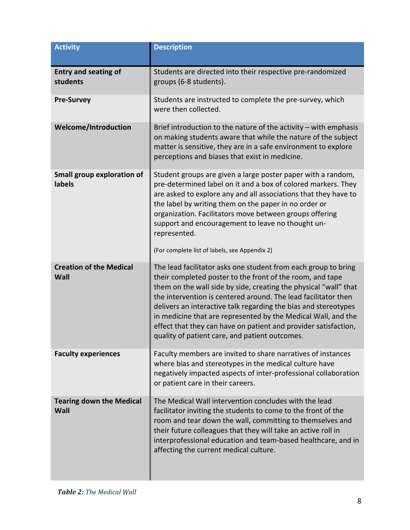| <b>Activity</b>                             | <b>Description</b>                                                                                                                                                                                                                                                                                                                                                                                                                                                                                                         |
|---------------------------------------------|----------------------------------------------------------------------------------------------------------------------------------------------------------------------------------------------------------------------------------------------------------------------------------------------------------------------------------------------------------------------------------------------------------------------------------------------------------------------------------------------------------------------------|
| <b>Entry and seating of</b><br>students     | Students are directed into their respective pre-randomized<br>groups (6-8 students).                                                                                                                                                                                                                                                                                                                                                                                                                                       |
| <b>Pre-Survey</b>                           | Students are instructed to complete the pre-survey, which<br>were then collected.                                                                                                                                                                                                                                                                                                                                                                                                                                          |
| <b>Welcome/Introduction</b>                 | Brief introduction to the nature of the activity $-$ with emphasis<br>on making students aware that while the nature of the subject<br>matter is sensitive, they are in a safe environment to explore<br>perceptions and biases that exist in medicine.                                                                                                                                                                                                                                                                    |
| <b>Small group exploration of</b><br>labels | Student groups are given a large poster paper with a random,<br>pre-determined label on it and a box of colored markers. They<br>are asked to explore any and all associations that they have to<br>the label by writing them on the paper in no order or<br>organization. Facilitators move between groups offering<br>support and encouragement to leave no thought un-<br>represented.<br>(For complete list of labels, see Appendix 2)                                                                                 |
| <b>Creation of the Medical</b><br>Wall      | The lead facilitator asks one student from each group to bring<br>their completed poster to the front of the room, and tape<br>them on the wall side by side, creating the physical "wall" that<br>the intervention is centered around. The lead facilitator then<br>delivers an interactive talk regarding the bias and stereotypes<br>in medicine that are represented by the Medical Wall, and the<br>effect that they can have on patient and provider satisfaction,<br>quality of patient care, and patient outcomes. |
| <b>Faculty experiences</b>                  | Faculty members are invited to share narratives of instances<br>where bias and stereotypes in the medical culture have<br>negatively impacted aspects of inter-professional collaboration<br>or patient care in their careers.                                                                                                                                                                                                                                                                                             |
| <b>Tearing down the Medical</b><br>Wall     | The Medical Wall intervention concludes with the lead<br>facilitator inviting the students to come to the front of the<br>room and tear down the wall, committing to themselves and<br>their future colleagues that they will take an active roll in<br>interprofessional education and team-based healthcare, and in<br>affecting the current medical culture.                                                                                                                                                            |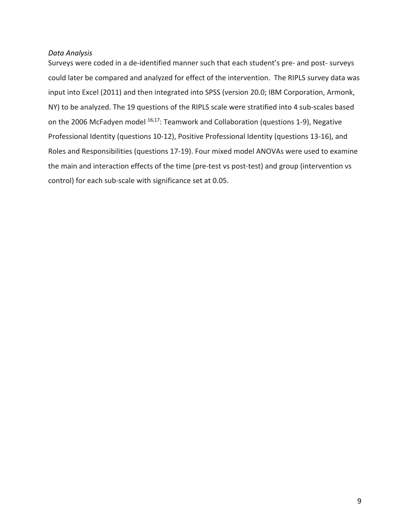## *Data Analysis*

Surveys were coded in a de‐identified manner such that each student's pre‐ and post‐ surveys could later be compared and analyzed for effect of the intervention. The RIPLS survey data was input into Excel (2011) and then integrated into SPSS (version 20.0; IBM Corporation, Armonk, NY) to be analyzed. The 19 questions of the RIPLS scale were stratified into 4 sub‐scales based on the 2006 McFadyen model <sup>16,17</sup>: Teamwork and Collaboration (questions 1-9), Negative Professional Identity (questions 10‐12), Positive Professional Identity (questions 13‐16), and Roles and Responsibilities (questions 17‐19). Four mixed model ANOVAs were used to examine the main and interaction effects of the time (pre‐test vs post‐test) and group (intervention vs control) for each sub‐scale with significance set at 0.05.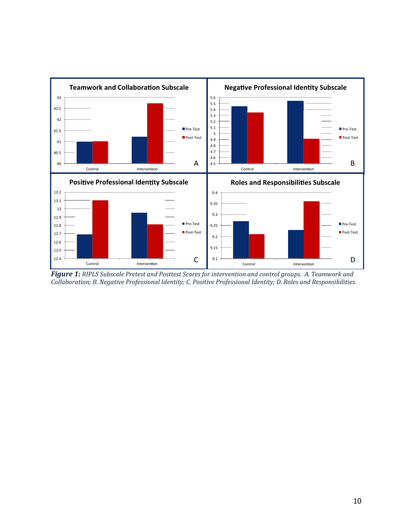

Figure 1: RIPLS Subscale Pretest and Posttest Scores for intervention and control groups. A. Teamwork and *Collaboration; B. Negative Professional Identity; C. Positive Professional Identity; D. Roles and Responsibilities.*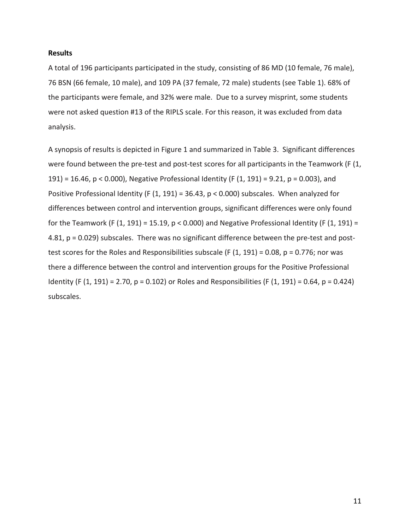## **Results**

A total of 196 participants participated in the study, consisting of 86 MD (10 female, 76 male), 76 BSN (66 female, 10 male), and 109 PA (37 female, 72 male) students (see Table 1). 68% of the participants were female, and 32% were male. Due to a survey misprint, some students were not asked question #13 of the RIPLS scale. For this reason, it was excluded from data analysis.

A synopsis of results is depicted in Figure 1 and summarized in Table 3. Significant differences were found between the pre-test and post-test scores for all participants in the Teamwork (F  $(1, 1)$ 191) = 16.46, p < 0.000), Negative Professional Identity (F (1, 191) = 9.21, p = 0.003), and Positive Professional Identity (F (1, 191) = 36.43, p < 0.000) subscales. When analyzed for differences between control and intervention groups, significant differences were only found for the Teamwork (F  $(1, 191) = 15.19$ , p < 0.000) and Negative Professional Identity (F  $(1, 191) =$ 4.81, p = 0.029) subscales. There was no significant difference between the pre-test and posttest scores for the Roles and Responsibilities subscale (F  $(1, 191) = 0.08$ ,  $p = 0.776$ ; nor was there a difference between the control and intervention groups for the Positive Professional Identity (F (1, 191) = 2.70, p = 0.102) or Roles and Responsibilities (F (1, 191) = 0.64, p = 0.424) subscales.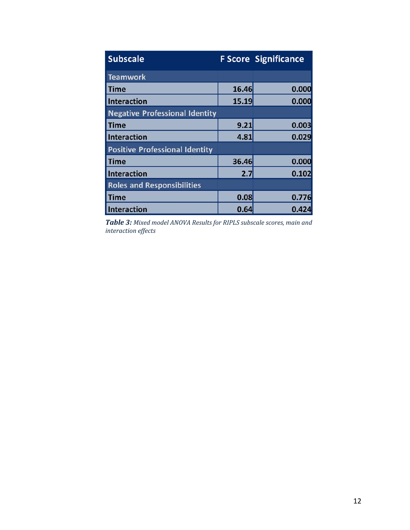| <b>Subscale</b>                       |       | <b>F Score Significance</b> |
|---------------------------------------|-------|-----------------------------|
| <b>Teamwork</b>                       |       |                             |
| Time                                  | 16.46 | 0.000                       |
| <b>Interaction</b>                    | 15.19 | 0.000                       |
| <b>Negative Professional Identity</b> |       |                             |
| <b>Time</b>                           | 9.21  | 0.003                       |
| <b>Interaction</b>                    | 4.81  | 0.029                       |
| <b>Positive Professional Identity</b> |       |                             |
| <b>Time</b>                           | 36.46 | 0.000                       |
| <b>Interaction</b>                    | 2.7   | 0.102                       |
| <b>Roles and Responsibilities</b>     |       |                             |
| <b>Time</b>                           | 0.08  | 0.776                       |
| <b>Interaction</b>                    | 0.64  | 0.424                       |

*Table 3: Mixed model ANOVA Results for RIPLS subscale scores, main and interaction effects*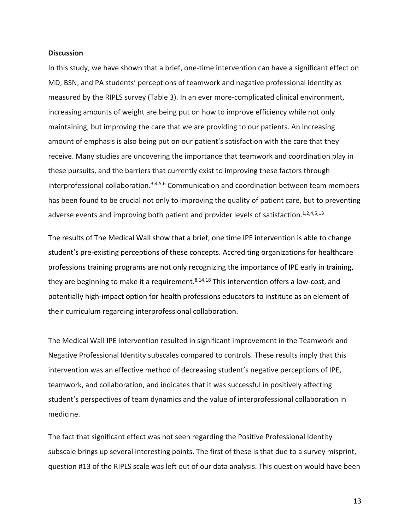#### **Discussion**

In this study, we have shown that a brief, one-time intervention can have a significant effect on MD, BSN, and PA students' perceptions of teamwork and negative professional identity as measured by the RIPLS survey (Table 3). In an ever more‐complicated clinical environment, increasing amounts of weight are being put on how to improve efficiency while not only maintaining, but improving the care that we are providing to our patients. An increasing amount of emphasis is also being put on our patient's satisfaction with the care that they receive. Many studies are uncovering the importance that teamwork and coordination play in these pursuits, and the barriers that currently exist to improving these factors through interprofessional collaboration.3,4,5,6 Communication and coordination between team members has been found to be crucial not only to improving the quality of patient care, but to preventing adverse events and improving both patient and provider levels of satisfaction.<sup>1,2,4,5,13</sup>

The results of The Medical Wall show that a brief, one time IPE intervention is able to change student's pre‐existing perceptions of these concepts. Accrediting organizations for healthcare professions training programs are not only recognizing the importance of IPE early in training, they are beginning to make it a requirement.<sup>8,14,18</sup> This intervention offers a low-cost, and potentially high‐impact option for health professions educators to institute as an element of their curriculum regarding interprofessional collaboration.

The Medical Wall IPE intervention resulted in significant improvement in the Teamwork and Negative Professional Identity subscales compared to controls. These results imply that this intervention was an effective method of decreasing student's negative perceptions of IPE, teamwork, and collaboration, and indicates that it was successful in positively affecting student's perspectives of team dynamics and the value of interprofessional collaboration in medicine.

The fact that significant effect was not seen regarding the Positive Professional Identity subscale brings up several interesting points. The first of these is that due to a survey misprint, question #13 of the RIPLS scale was left out of our data analysis. This question would have been

13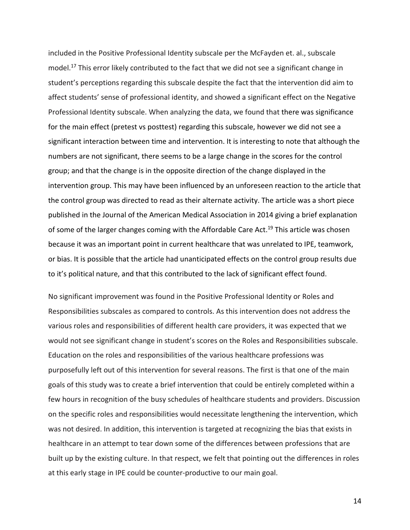included in the Positive Professional Identity subscale per the McFayden et. al., subscale model.<sup>17</sup> This error likely contributed to the fact that we did not see a significant change in student's perceptions regarding this subscale despite the fact that the intervention did aim to affect students' sense of professional identity, and showed a significant effect on the Negative Professional Identity subscale. When analyzing the data, we found that there was significance for the main effect (pretest vs posttest) regarding this subscale, however we did not see a significant interaction between time and intervention. It is interesting to note that although the numbers are not significant, there seems to be a large change in the scores for the control group; and that the change is in the opposite direction of the change displayed in the intervention group. This may have been influenced by an unforeseen reaction to the article that the control group was directed to read as their alternate activity. The article was a short piece published in the Journal of the American Medical Association in 2014 giving a brief explanation of some of the larger changes coming with the Affordable Care Act.<sup>19</sup> This article was chosen because it was an important point in current healthcare that was unrelated to IPE, teamwork, or bias. It is possible that the article had unanticipated effects on the control group results due to it's political nature, and that this contributed to the lack of significant effect found. 

No significant improvement was found in the Positive Professional Identity or Roles and Responsibilities subscales as compared to controls. As this intervention does not address the various roles and responsibilities of different health care providers, it was expected that we would not see significant change in student's scores on the Roles and Responsibilities subscale. Education on the roles and responsibilities of the various healthcare professions was purposefully left out of this intervention for several reasons. The first is that one of the main goals of this study was to create a brief intervention that could be entirely completed within a few hours in recognition of the busy schedules of healthcare students and providers. Discussion on the specific roles and responsibilities would necessitate lengthening the intervention, which was not desired. In addition, this intervention is targeted at recognizing the bias that exists in healthcare in an attempt to tear down some of the differences between professions that are built up by the existing culture. In that respect, we felt that pointing out the differences in roles at this early stage in IPE could be counter‐productive to our main goal.

14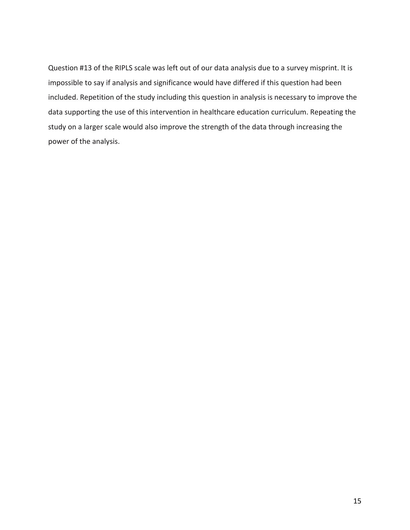Question #13 of the RIPLS scale was left out of our data analysis due to a survey misprint. It is impossible to say if analysis and significance would have differed if this question had been included. Repetition of the study including this question in analysis is necessary to improve the data supporting the use of this intervention in healthcare education curriculum. Repeating the study on a larger scale would also improve the strength of the data through increasing the power of the analysis.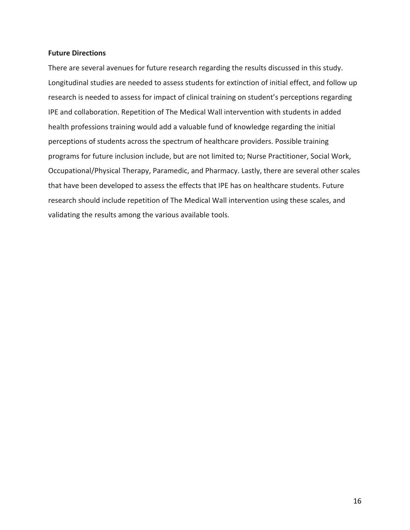## **Future Directions**

There are several avenues for future research regarding the results discussed in this study. Longitudinal studies are needed to assess students for extinction of initial effect, and follow up research is needed to assess for impact of clinical training on student's perceptions regarding IPE and collaboration. Repetition of The Medical Wall intervention with students in added health professions training would add a valuable fund of knowledge regarding the initial perceptions of students across the spectrum of healthcare providers. Possible training programs for future inclusion include, but are not limited to; Nurse Practitioner, Social Work, Occupational/Physical Therapy, Paramedic, and Pharmacy. Lastly, there are several other scales that have been developed to assess the effects that IPE has on healthcare students. Future research should include repetition of The Medical Wall intervention using these scales, and validating the results among the various available tools.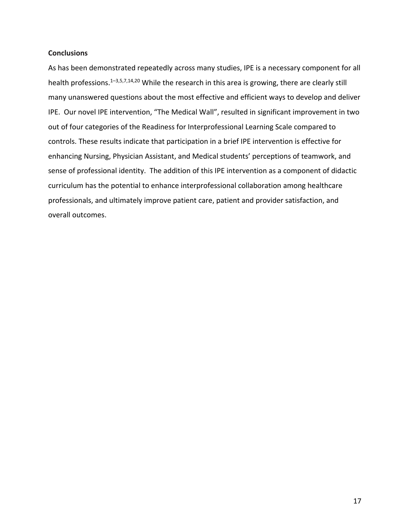## **Conclusions**

As has been demonstrated repeatedly across many studies, IPE is a necessary component for all health professions.1–3,5,7,14,20 While the research in this area is growing, there are clearly still many unanswered questions about the most effective and efficient ways to develop and deliver IPE. Our novel IPE intervention, "The Medical Wall", resulted in significant improvement in two out of four categories of the Readiness for Interprofessional Learning Scale compared to controls. These results indicate that participation in a brief IPE intervention is effective for enhancing Nursing, Physician Assistant, and Medical students' perceptions of teamwork, and sense of professional identity. The addition of this IPE intervention as a component of didactic curriculum has the potential to enhance interprofessional collaboration among healthcare professionals, and ultimately improve patient care, patient and provider satisfaction, and overall outcomes.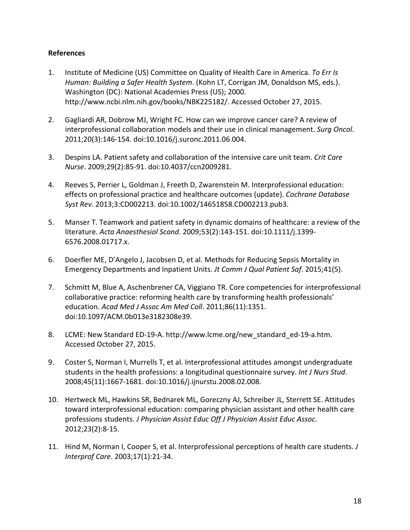## **References**

- 1. Institute of Medicine (US) Committee on Quality of Health Care in America. *To Err Is Human: Building a Safer Health System*. (Kohn LT, Corrigan JM, Donaldson MS, eds.). Washington (DC): National Academies Press (US); 2000. http://www.ncbi.nlm.nih.gov/books/NBK225182/. Accessed October 27, 2015.
- 2. Gagliardi AR, Dobrow MJ, Wright FC. How can we improve cancer care? A review of interprofessional collaboration models and their use in clinical management. *Surg Oncol*. 2011;20(3):146‐154. doi:10.1016/j.suronc.2011.06.004.
- 3. Despins LA. Patient safety and collaboration of the intensive care unit team. *Crit Care Nurse*. 2009;29(2):85‐91. doi:10.4037/ccn2009281.
- 4. Reeves S, Perrier L, Goldman J, Freeth D, Zwarenstein M. Interprofessional education: effects on professional practice and healthcare outcomes (update). *Cochrane Database Syst Rev*. 2013;3:CD002213. doi:10.1002/14651858.CD002213.pub3.
- 5. Manser T. Teamwork and patient safety in dynamic domains of healthcare: a review of the literature. *Acta Anaesthesiol Scand*. 2009;53(2):143‐151. doi:10.1111/j.1399‐ 6576.2008.01717.x.
- 6. Doerfler ME, D'Angelo J, Jacobsen D, et al. Methods for Reducing Sepsis Mortality in Emergency Departments and Inpatient Units. *Jt Comm J Qual Patient Saf*. 2015;41(5).
- 7. Schmitt M, Blue A, Aschenbrener CA, Viggiano TR. Core competencies for interprofessional collaborative practice: reforming health care by transforming health professionals' education. *Acad Med J Assoc Am Med Coll*. 2011;86(11):1351. doi:10.1097/ACM.0b013e3182308e39.
- 8. LCME: New Standard ED‐19‐A. http://www.lcme.org/new\_standard\_ed‐19‐a.htm. Accessed October 27, 2015.
- 9. Coster S, Norman I, Murrells T, et al. Interprofessional attitudes amongst undergraduate students in the health professions: a longitudinal questionnaire survey. *Int J Nurs Stud*. 2008;45(11):1667‐1681. doi:10.1016/j.ijnurstu.2008.02.008.
- 10. Hertweck ML, Hawkins SR, Bednarek ML, Goreczny AJ, Schreiber JL, Sterrett SE. Attitudes toward interprofessional education: comparing physician assistant and other health care professions students. *J Physician Assist Educ Off J Physician Assist Educ Assoc*. 2012;23(2):8‐15.
- 11. Hind M, Norman I, Cooper S, et al. Interprofessional perceptions of health care students. *J Interprof Care*. 2003;17(1):21‐34.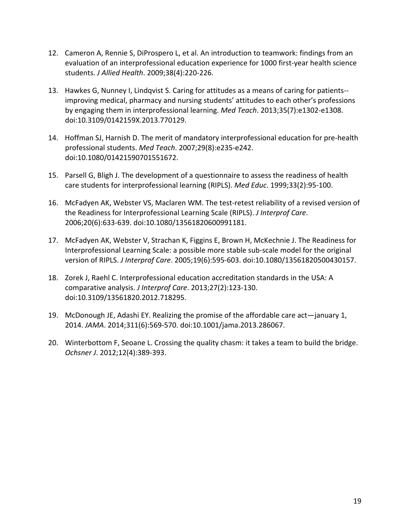- 12. Cameron A, Rennie S, DiProspero L, et al. An introduction to teamwork: findings from an evaluation of an interprofessional education experience for 1000 first‐year health science students. *J Allied Health*. 2009;38(4):220‐226.
- 13. Hawkes G, Nunney I, Lindqvist S. Caring for attitudes as a means of caring for patients-improving medical, pharmacy and nursing students' attitudes to each other's professions by engaging them in interprofessional learning. *Med Teach*. 2013;35(7):e1302‐e1308. doi:10.3109/0142159X.2013.770129.
- 14. Hoffman SJ, Harnish D. The merit of mandatory interprofessional education for pre-health professional students. *Med Teach*. 2007;29(8):e235‐e242. doi:10.1080/01421590701551672.
- 15. Parsell G, Bligh J. The development of a questionnaire to assess the readiness of health care students for interprofessional learning (RIPLS). *Med Educ*. 1999;33(2):95‐100.
- 16. McFadyen AK, Webster VS, Maclaren WM. The test-retest reliability of a revised version of the Readiness for Interprofessional Learning Scale (RIPLS). *J Interprof Care*. 2006;20(6):633‐639. doi:10.1080/13561820600991181.
- 17. McFadyen AK, Webster V, Strachan K, Figgins E, Brown H, McKechnie J. The Readiness for Interprofessional Learning Scale: a possible more stable sub‐scale model for the original version of RIPLS. *J Interprof Care*. 2005;19(6):595‐603. doi:10.1080/13561820500430157.
- 18. Zorek J, Raehl C. Interprofessional education accreditation standards in the USA: A comparative analysis. *J Interprof Care*. 2013;27(2):123‐130. doi:10.3109/13561820.2012.718295.
- 19. McDonough JE, Adashi EY. Realizing the promise of the affordable care act—january 1, 2014. *JAMA*. 2014;311(6):569‐570. doi:10.1001/jama.2013.286067.
- 20. Winterbottom F, Seoane L. Crossing the quality chasm: it takes a team to build the bridge. *Ochsner J*. 2012;12(4):389‐393.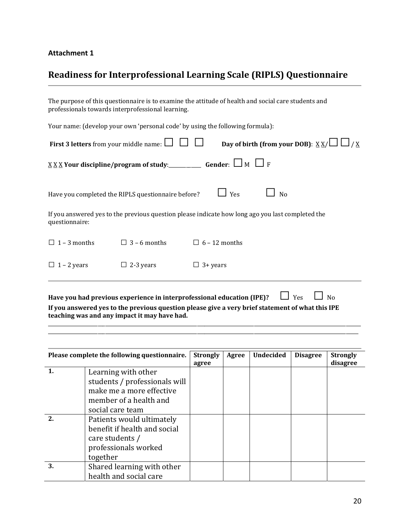# **Attachment 1**

# **Readiness for Interprofessional Learning Scale (RIPLS) Questionnaire**

| The purpose of this questionnaire is to examine the attitude of health and social care students and<br>professionals towards interprofessional learning. |                     |                                                                                                  |  |  |  |  |  |
|----------------------------------------------------------------------------------------------------------------------------------------------------------|---------------------|--------------------------------------------------------------------------------------------------|--|--|--|--|--|
| Your name: (develop your own 'personal code' by using the following formula):                                                                            |                     |                                                                                                  |  |  |  |  |  |
| Day of birth (from your DOB): $\underline{X} \underline{X}/\Box \Box / \underline{X}$<br><b>First 3 letters</b> from your middle name: $\Box$            |                     |                                                                                                  |  |  |  |  |  |
|                                                                                                                                                          |                     |                                                                                                  |  |  |  |  |  |
| Have you completed the RIPLS questionnaire before?                                                                                                       |                     | $\Box$ Yes<br>N <sub>0</sub>                                                                     |  |  |  |  |  |
| questionnaire:                                                                                                                                           |                     | If you answered yes to the previous question please indicate how long ago you last completed the |  |  |  |  |  |
| $\Box$ 1 – 3 months                                                                                                                                      | $\Box$ 3 – 6 months | $\Box$ 6 – 12 months                                                                             |  |  |  |  |  |
| $\Box$ 1 – 2 years                                                                                                                                       | $\Box$ 2-3 years    | $\Box$ 3+ years                                                                                  |  |  |  |  |  |
|                                                                                                                                                          |                     | Yes<br>Have you had previous experience in interprofessional education (IPE)?<br>N <sub>0</sub>  |  |  |  |  |  |

**If you answered yes to the previous question please give a very brief statement of what this IPE teaching was and any impact it may have had.**

\_\_\_\_\_\_\_\_\_\_\_\_\_\_\_\_\_\_\_\_\_\_\_\_\_\_\_\_\_\_\_\_\_\_\_\_\_\_\_\_\_\_\_\_\_\_\_\_\_\_\_\_\_\_\_\_\_\_\_\_\_\_\_\_\_\_\_\_\_\_\_\_\_\_\_\_\_\_\_\_\_\_\_\_\_\_\_\_\_\_\_\_\_\_\_\_\_\_\_\_\_\_\_\_\_\_\_\_\_\_\_\_\_\_\_\_\_\_\_\_\_\_\_\_\_\_ \_\_\_\_\_\_\_\_\_\_\_\_\_\_\_\_\_\_\_\_\_\_\_\_\_\_\_\_\_\_\_\_\_\_\_\_\_\_\_\_\_\_\_\_\_\_\_\_\_\_\_\_\_\_\_\_\_\_\_\_\_\_\_\_\_\_\_\_\_\_\_\_\_\_\_\_\_\_\_\_\_\_\_\_\_\_\_\_\_\_\_\_\_\_\_\_\_\_\_\_\_\_\_\_\_\_\_\_\_\_\_\_\_\_\_\_\_\_\_\_\_\_\_\_\_ 

|    | Please complete the following questionnaire.                                                                                   | <b>Strongly</b><br>agree | Agree | <b>Undecided</b> | <b>Disagree</b> | <b>Strongly</b><br>disagree |
|----|--------------------------------------------------------------------------------------------------------------------------------|--------------------------|-------|------------------|-----------------|-----------------------------|
|    | Learning with other<br>students / professionals will<br>make me a more effective<br>member of a health and<br>social care team |                          |       |                  |                 |                             |
| 2. | Patients would ultimately<br>benefit if health and social<br>care students /<br>professionals worked<br>together               |                          |       |                  |                 |                             |
| 3. | Shared learning with other<br>health and social care                                                                           |                          |       |                  |                 |                             |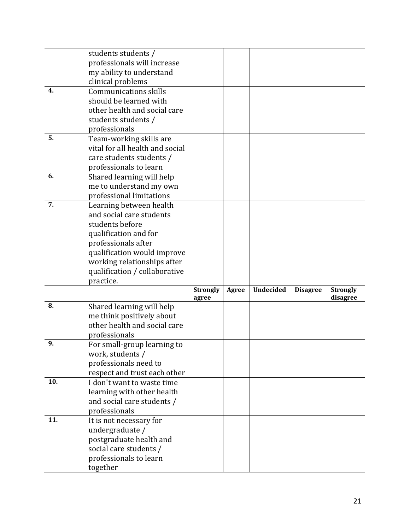|     | students students /             |                   |       |                  |                 |                             |
|-----|---------------------------------|-------------------|-------|------------------|-----------------|-----------------------------|
|     | professionals will increase     |                   |       |                  |                 |                             |
|     | my ability to understand        |                   |       |                  |                 |                             |
|     | clinical problems               |                   |       |                  |                 |                             |
| 4.  | <b>Communications skills</b>    |                   |       |                  |                 |                             |
|     | should be learned with          |                   |       |                  |                 |                             |
|     | other health and social care    |                   |       |                  |                 |                             |
|     | students students /             |                   |       |                  |                 |                             |
|     | professionals                   |                   |       |                  |                 |                             |
| 5.  | Team-working skills are         |                   |       |                  |                 |                             |
|     | vital for all health and social |                   |       |                  |                 |                             |
|     | care students students /        |                   |       |                  |                 |                             |
|     | professionals to learn          |                   |       |                  |                 |                             |
| 6.  | Shared learning will help       |                   |       |                  |                 |                             |
|     | me to understand my own         |                   |       |                  |                 |                             |
|     | professional limitations        |                   |       |                  |                 |                             |
| 7.  | Learning between health         |                   |       |                  |                 |                             |
|     | and social care students        |                   |       |                  |                 |                             |
|     | students before                 |                   |       |                  |                 |                             |
|     |                                 |                   |       |                  |                 |                             |
|     | qualification and for           |                   |       |                  |                 |                             |
|     | professionals after             |                   |       |                  |                 |                             |
|     | qualification would improve     |                   |       |                  |                 |                             |
|     | working relationships after     |                   |       |                  |                 |                             |
|     | qualification / collaborative   |                   |       |                  |                 |                             |
|     | practice.                       |                   |       |                  |                 |                             |
|     |                                 | Strongly<br>agree | Agree | <b>Undecided</b> | <b>Disagree</b> | <b>Strongly</b><br>disagree |
| 8.  | Shared learning will help       |                   |       |                  |                 |                             |
|     | me think positively about       |                   |       |                  |                 |                             |
|     | other health and social care    |                   |       |                  |                 |                             |
|     |                                 |                   |       |                  |                 |                             |
|     |                                 |                   |       |                  |                 |                             |
|     | professionals                   |                   |       |                  |                 |                             |
| 9.  | For small-group learning to     |                   |       |                  |                 |                             |
|     | work, students /                |                   |       |                  |                 |                             |
|     | professionals need to           |                   |       |                  |                 |                             |
|     | respect and trust each other    |                   |       |                  |                 |                             |
| 10. | I don't want to waste time      |                   |       |                  |                 |                             |
|     | learning with other health      |                   |       |                  |                 |                             |
|     | and social care students /      |                   |       |                  |                 |                             |
|     | professionals                   |                   |       |                  |                 |                             |
| 11. | It is not necessary for         |                   |       |                  |                 |                             |
|     | undergraduate /                 |                   |       |                  |                 |                             |
|     | postgraduate health and         |                   |       |                  |                 |                             |
|     | social care students /          |                   |       |                  |                 |                             |
|     | professionals to learn          |                   |       |                  |                 |                             |